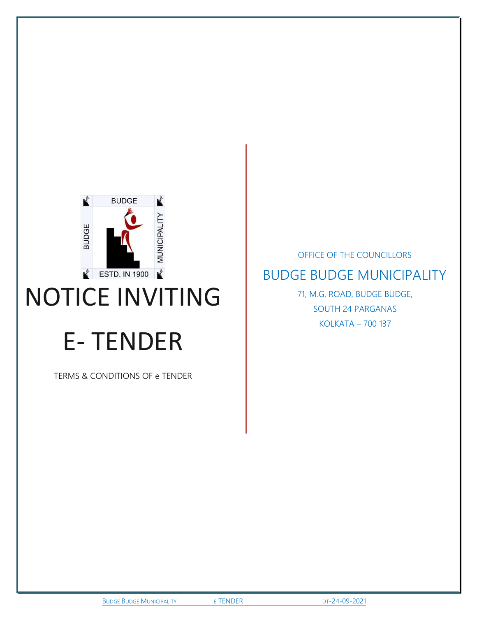

# NOTICE INVITING

# E- TENDER

TERMS & CONDITIONS OF e TENDER

OFFICE OF THE COUNCILLORS BUDGE BUDGE MUNICIPALITY 71, M.G. ROAD, BUDGE BUDGE,

SOUTH 24 PARGANAS KOLKATA – 700 137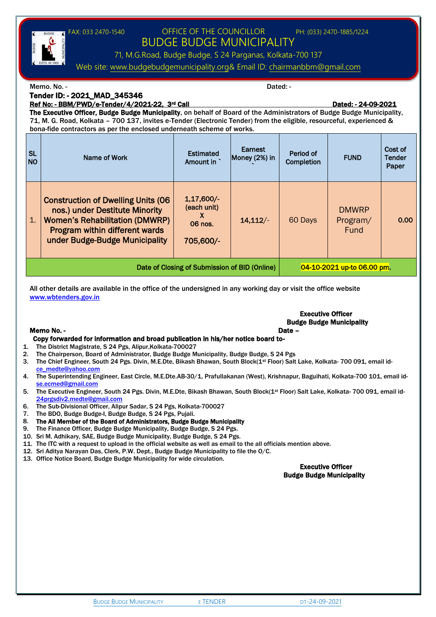

Ref No: - BBM/PWD/e-Tender/4/2021-22, 3rd Call Dated: - 24-09-2021

The Executive Officer, Budge Budge Municipality, on behalf of Board of the Administrators of Budge Budge Municipality, 71, M. G. Road, Kolkata – 700 137, invites e-Tender (Electronic Tender) from the eligible, resourceful, experienced & bona-fide contractors as per the enclosed underneath scheme of works.

| <b>SL</b><br><b>NO</b> | Name of Work                                                                                                                                                                             | <b>Estimated</b><br>Amount in                            | Earnest<br>Money (2%) in   | Period of<br>Completion | <b>FUND</b>                             | Cost of<br><b>Tender</b><br>Paper |
|------------------------|------------------------------------------------------------------------------------------------------------------------------------------------------------------------------------------|----------------------------------------------------------|----------------------------|-------------------------|-----------------------------------------|-----------------------------------|
| 1.                     | <b>Construction of Dwelling Units (06</b><br>nos.) under Destitute Minority<br><b>Women's Rehabilitation (DMWRP)</b><br>Program within different wards<br>under Budge-Budge Municipality | $1,17,600/-$<br>(each unit)<br>X<br>06 nos.<br>705,600/- | 14,112/                    | 60 Days                 | <b>DMWRP</b><br>Program/<br><b>Fund</b> | 0.00                              |
|                        | Date of Closing of Submission of BID (Online)                                                                                                                                            |                                                          | 04-10-2021 up-to 06.00 pm. |                         |                                         |                                   |

All other details are available in the office of the undersigned in any working day or visit the office website [www.wbtenders.gov.in](http://www.wbtenders.gov.in/)

## Executive Officer Budge Budge Municipality

#### Memo No. - Date – Date – Date – Date – Date – Date – Date – Date – Date – Date – Date – Date – Date – Date – D

#### Copy forwarded for information and broad publication in his/her notice board to-

- 1. The District Magistrate, S 24 Pgs, Alipur,Kolkata-700027
- 2. The Chairperson, Board of Administrator, Budge Budge Municipality, Budge Budge, S 24 Pgs
- 3. The Chief Engineer, South 24 Pgs. Divin, M.E.Dte, Bikash Bhawan, South Block(1<sup>st</sup> Floor) Salt Lake, Kolkata- 700 091, email id[ce\\_medte@yahoo.com](mailto:ce_medte@yahoo.com)
- 4. The Superintending Engineer, East Circle, M.E.Dte.AB-30/1, Prafullakanan (West), Krishnapur, Baguihati, Kolkata-700 101, email id[se.ecmed@gmail.com](mailto:se.ecmed@gmail.com)
- 5. The Executive Engineer, South 24 Pgs. Divin, M.E.Dte, Bikash Bhawan, South Block(1st Floor) Salt Lake, Kolkata- 700 091, email id-[24prgsdiv2.medte@gmail.com](mailto:24prgsdiv2.medte@gmail.com)
- 6. The Sub-Divisional Officer, Alipur Sadar, S 24 Pgs, Kolkata-700027
- 7. The BDO, Budge Budge-I, Budge Budge, S 24 Pgs, Pujali.
- 8. The All Member of the Board of Administrators, Budge Budge Municipality
- 9. The Finance Officer, Budge Budge Municipality, Budge Budge, S 24 Pgs.
- 10. Sri M. Adhikary, SAE, Budge Budge Municipality, Budge Budge, S 24 Pgs.
- 11. The ITC with a request to upload in the official website as well as email to the all officials mention above.
- 12. Sri Aditya Narayan Das, Clerk, P.W. Dept., Budge Budge Municipality to file the O/C.
- 13. Office Notice Board, Budge Budge Municipality for wide circulation.

Executive Officer Budge Budge Municipality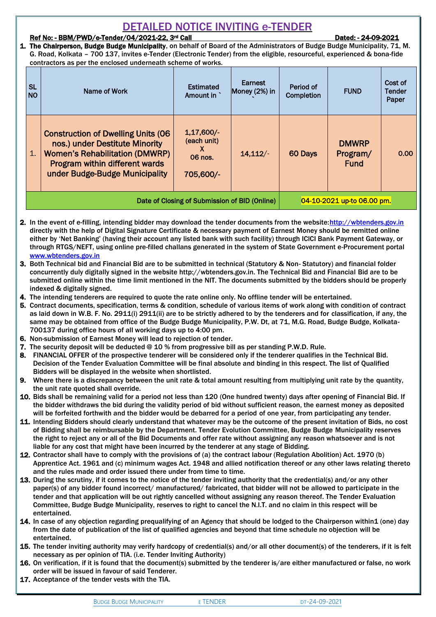## DETAILED NOTICE INVITING e-TENDER

#### Ref No: - BBM/PWD/e-Tender/04/2021-22, 3<sup>rd</sup> Call Dated: - 24-09-2021

1. The Chairperson, Budge Budge Municipality, on behalf of Board of the Administrators of Budge Budge Municipality, 71, M. G. Road, Kolkata – 700 137, invites e-Tender (Electronic Tender) from the eligible, resourceful, experienced & bona-fide contractors as per the enclosed underneath scheme of works.

| <b>SL</b><br><b>NO</b>                        | Name of Work                                                                                                                                                                              | <b>Estimated</b><br>Amount in                            | Earnest<br>Money (2%) in | Period of<br>Completion | <b>FUND</b>                             | Cost of<br><b>Tender</b><br>Paper |
|-----------------------------------------------|-------------------------------------------------------------------------------------------------------------------------------------------------------------------------------------------|----------------------------------------------------------|--------------------------|-------------------------|-----------------------------------------|-----------------------------------|
| 1.                                            | <b>Construction of Dwelling Units (06)</b><br>nos.) under Destitute Minority<br><b>Women's Rehabilitation (DMWRP)</b><br>Program within different wards<br>under Budge-Budge Municipality | $1,17,600/-$<br>(each unit)<br>X<br>06 nos.<br>705,600/- | $14,112/-$               | 60 Days                 | <b>DMWRP</b><br>Program/<br><b>Fund</b> | 0.00                              |
| Date of Closing of Submission of BID (Online) |                                                                                                                                                                                           |                                                          |                          |                         | 04-10-2021 up-to 06.00 pm.              |                                   |

2. In the event of e-filling, intending bidder may download the tender documents from the website[:http://wbtenders.gov.in](http://wbtenders.gov.in/) directly with the help of Digital Signature Certificate & necessary payment of Earnest Money should be remitted online either by 'Net Banking' (having their account any listed bank with such facility) through IClCI Bank Payment Gateway, or through RTGS/NEFT, using online pre-filled challans generated in the system of State Government e-Procurement portal [www.wbtenders.gov.in](http://www.wbtenders.gov.in/)

- 3. Both Technical bid and Financial Bid are to be submitted in technical (Statutory & Non- Statutory) and financial folder concurrently duly digitally signed in the website http://wbtenders.gov.in. The Technical Bid and Financial Bid are to be submitted online within the time limit mentioned in the NIT. The documents submitted by the bidders should be properly indexed & digitally signed.
- 4. The intending tenderers are required to quote the rate online only. No offline tender will be entertained.
- 5. Contract documents, specification, terms & condition, schedule of various items of work along with condition of contract as laid down in W.B. F. No. 2911(i) 2911(ii) are to be strictly adhered to by the tenderers and for classification, if any, the same may be obtained from office of the Budge Budge Municipality, P.W. Dt, at 71, M.G. Road, Budge Budge, Kolkata-700137 during office hours of all working days up to 4:00 pm.
- 6. Non-submission of Earnest Money will lead to rejection of tender.
- 7. The security deposit will be deducted @ 10 % from progressive bill as per standing P.W.D. Rule.
- 8. FINANCIAL OFFER of the prospective tenderer will be considered only if the tenderer qualifies in the Technical Bid. Decision of the Tender Evaluation Committee will be final absolute and binding in this respect. The list of Qualified Bidders will be displayed in the website when shortlisted.
- 9. Where there is a discrepancy between the unit rate & total amount resulting from multiplying unit rate by the quantity, the unit rate quoted shall override.
- 10. Bids shall be remaining valid for a period not less than 120 (One hundred twenty) days after opening of Financial Bid. If the bidder withdraws the bid during the validity period of bid without sufficient reason, the earnest money as deposited will be forfeited forthwith and the bidder would be debarred for a period of one year, from participating any tender.
- 11. Intending Bidders should clearly understand that whatever may be the outcome of the present invitation of Bids, no cost of Bidding shall be reimbursable by the Department. Tender Evolution Committee, Budge Budge Municipality reserves the right to reject any or all of the Bid Documents and offer rate without assigning any reason whatsoever and is not liable for any cost that might have been incurred by the tenderer at any stage of Bidding.
- 12. Contractor shall have to comply with the provisions of (a) the contract labour (Regulation Abolition) Act. 1970 (b) Apprentice Act. 1961 and (c) minimum wages Act. 1948 and allied notification thereof or any other laws relating thereto and the rules made and order issued there under from time to time.
- 13. During the scrutiny, if it comes to the notice of the tender inviting authority that the credential(s) and/or any other paper(s) of any bidder found incorrect/ manufactured/ fabricated, that bidder will not be allowed to participate in the tender and that application will be out rightly cancelled without assigning any reason thereof. The Tender Evaluation Committee, Budge Budge Municipality, reserves to right to cancel the N.I.T. and no claim in this respect will be entertained.
- 14. In case of any objection regarding prequalifying of an Agency that should be lodged to the Chairperson within1 (one) day from the date of publication of the list of qualified agencies and beyond that time schedule no objection will be entertained.
- 15. The tender inviting authority may verify hardcopy of credential(s) and/or all other document(s) of the tenderers, if it is felt necessary as per opinion of TIA. (i.e. Tender Inviting Authority)
- 16. On verification, if it is found that the document(s) submitted by the tenderer is/are either manufactured or false, no work order will be issued in favour of said Tenderer.
- 17. Acceptance of the tender vests with the TIA.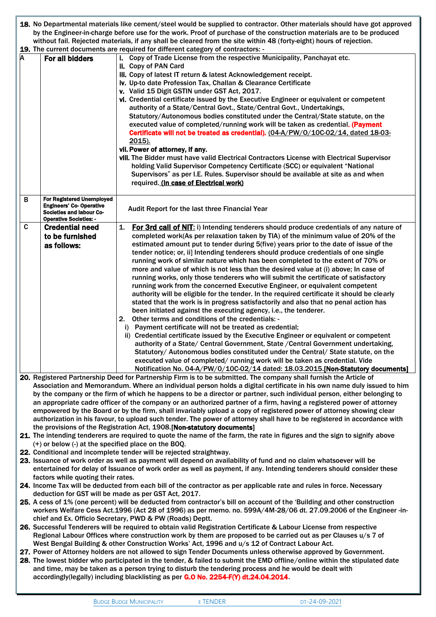|   |                                                                                                                       | 18. No Departmental materials like cement/steel would be supplied to contractor. Other materials should have got approved                                                                                                           |  |  |  |  |  |
|---|-----------------------------------------------------------------------------------------------------------------------|-------------------------------------------------------------------------------------------------------------------------------------------------------------------------------------------------------------------------------------|--|--|--|--|--|
|   | by the Engineer-in-charge before use for the work. Proof of purchase of the construction materials are to be produced |                                                                                                                                                                                                                                     |  |  |  |  |  |
|   |                                                                                                                       | without fail. Rejected materials, if any shall be cleared from the site within 48 (forty-eight) hours of rejection.                                                                                                                 |  |  |  |  |  |
|   |                                                                                                                       | 19. The current documents are required for different category of contractors: -                                                                                                                                                     |  |  |  |  |  |
| A | For all bidders                                                                                                       | i. Copy of Trade License from the respective Municipality, Panchayat etc.                                                                                                                                                           |  |  |  |  |  |
|   |                                                                                                                       | ii. Copy of PAN Card                                                                                                                                                                                                                |  |  |  |  |  |
|   |                                                                                                                       | iii. Copy of latest IT return & latest Acknowledgement receipt.<br>iv. Up-to date Profession Tax, Challan & Clearance Certificate                                                                                                   |  |  |  |  |  |
|   |                                                                                                                       | v. Valid 15 Digit GSTIN under GST Act, 2017.                                                                                                                                                                                        |  |  |  |  |  |
|   |                                                                                                                       | vi. Credential certificate issued by the Executive Engineer or equivalent or competent                                                                                                                                              |  |  |  |  |  |
|   |                                                                                                                       | authority of a State/Central Govt., State/Central Govt., Undertakings,                                                                                                                                                              |  |  |  |  |  |
|   |                                                                                                                       | Statutory/Autonomous bodies constituted under the Central/State statute, on the                                                                                                                                                     |  |  |  |  |  |
|   |                                                                                                                       | executed value of completed/running work will be taken as credential. (Payment                                                                                                                                                      |  |  |  |  |  |
|   |                                                                                                                       | Certificate will not be treated as credential). (04-A/PW/0/10C-02/14, dated 18-03-                                                                                                                                                  |  |  |  |  |  |
|   |                                                                                                                       | <u>2015).</u>                                                                                                                                                                                                                       |  |  |  |  |  |
|   |                                                                                                                       | vii. Power of attorney, if any.                                                                                                                                                                                                     |  |  |  |  |  |
|   |                                                                                                                       | viii. The Bidder must have valid Electrical Contractors License with Electrical Supervisor                                                                                                                                          |  |  |  |  |  |
|   |                                                                                                                       | holding Valid Supervisor Competency Certificate (SCC) or equivalent "National                                                                                                                                                       |  |  |  |  |  |
|   |                                                                                                                       | Supervisors" as per I.E. Rules. Supervisor should be available at site as and when                                                                                                                                                  |  |  |  |  |  |
|   |                                                                                                                       | required. (In case of Electrical work)                                                                                                                                                                                              |  |  |  |  |  |
|   |                                                                                                                       |                                                                                                                                                                                                                                     |  |  |  |  |  |
| B | For Registered Unemployed                                                                                             |                                                                                                                                                                                                                                     |  |  |  |  |  |
|   | <b>Engineers' Co-Operative</b>                                                                                        | Audit Report for the last three Financial Year                                                                                                                                                                                      |  |  |  |  |  |
|   | Societies and labour Co-                                                                                              |                                                                                                                                                                                                                                     |  |  |  |  |  |
| C | <b>Operative Societies: -</b><br><b>Credential need</b>                                                               | $\mathbf{1}$<br><b>For 3rd call of NIT:</b> i) Intending tenderers should produce credentials of any nature of                                                                                                                      |  |  |  |  |  |
|   |                                                                                                                       | completed work(As per relaxation taken by TIA) of the minimum value of 20% of the                                                                                                                                                   |  |  |  |  |  |
|   | to be furnished                                                                                                       | estimated amount put to tender during 5(five) years prior to the date of issue of the                                                                                                                                               |  |  |  |  |  |
|   | as follows:                                                                                                           | tender notice; or, ii] Intending tenderers should produce credentials of one single                                                                                                                                                 |  |  |  |  |  |
|   |                                                                                                                       | running work of similar nature which has been completed to the extent of 70% or                                                                                                                                                     |  |  |  |  |  |
|   |                                                                                                                       | more and value of which is not less than the desired value at (i) above; In case of                                                                                                                                                 |  |  |  |  |  |
|   |                                                                                                                       | running works, only those tenderers who will submit the certificate of satisfactory                                                                                                                                                 |  |  |  |  |  |
|   |                                                                                                                       | running work from the concerned Executive Engineer, or equivalent competent                                                                                                                                                         |  |  |  |  |  |
|   |                                                                                                                       | authority will be eligible for the tender. In the required certificate it should be clearly                                                                                                                                         |  |  |  |  |  |
|   |                                                                                                                       | stated that the work is in progress satisfactorily and also that no penal action has                                                                                                                                                |  |  |  |  |  |
|   |                                                                                                                       | been initiated against the executing agency, i.e., the tenderer.                                                                                                                                                                    |  |  |  |  |  |
|   |                                                                                                                       | 2. Other terms and conditions of the credentials: -                                                                                                                                                                                 |  |  |  |  |  |
|   |                                                                                                                       | i) Payment certificate will not be treated as credential;                                                                                                                                                                           |  |  |  |  |  |
|   |                                                                                                                       | ii) Credential certificate issued by the Executive Engineer or equivalent or competent                                                                                                                                              |  |  |  |  |  |
|   |                                                                                                                       | authority of a State/ Central Government, State / Central Government undertaking,                                                                                                                                                   |  |  |  |  |  |
|   |                                                                                                                       | Statutory/ Autonomous bodies constituted under the Central/ State statute, on the                                                                                                                                                   |  |  |  |  |  |
|   |                                                                                                                       | executed value of completed/ running work will be taken as credential. Vide                                                                                                                                                         |  |  |  |  |  |
|   |                                                                                                                       | Notification No. 04-A/PW/0/10C-02/14 dated: 18.03.2015.[Non-Statutory documents]                                                                                                                                                    |  |  |  |  |  |
|   |                                                                                                                       | 20. Registered Partnership Deed for Partnership Firm is to be submitted. The company shall furnish the Article of                                                                                                                   |  |  |  |  |  |
|   |                                                                                                                       | Association and Memorandum. Where an individual person holds a digital certificate in his own name duly issued to him                                                                                                               |  |  |  |  |  |
|   |                                                                                                                       | by the company or the firm of which he happens to be a director or partner, such individual person, either belonging to                                                                                                             |  |  |  |  |  |
|   |                                                                                                                       | an appropriate cadre officer of the company or an authorized partner of a firm, having a registered power of attorney                                                                                                               |  |  |  |  |  |
|   |                                                                                                                       | empowered by the Board or by the firm, shall invariably upload a copy of registered power of attorney showing clear                                                                                                                 |  |  |  |  |  |
|   |                                                                                                                       | authorization in his favour, to upload such tender. The power of attorney shall have to be registered in accordance with                                                                                                            |  |  |  |  |  |
|   |                                                                                                                       | the provisions of the Registration Act, 1908.[Non-statutory documents]                                                                                                                                                              |  |  |  |  |  |
|   |                                                                                                                       | 21. The intending tenderers are required to quote the name of the farm, the rate in figures and the sign to signify above                                                                                                           |  |  |  |  |  |
|   | (+) or below (-) at the specified place on the BOQ.                                                                   |                                                                                                                                                                                                                                     |  |  |  |  |  |
|   |                                                                                                                       | 22. Conditional and incomplete tender will be rejected straightway.                                                                                                                                                                 |  |  |  |  |  |
|   |                                                                                                                       | 23. Issuance of work order as well as payment will depend on availability of fund and no claim whatsoever will be                                                                                                                   |  |  |  |  |  |
|   |                                                                                                                       | entertained for delay of Issuance of work order as well as payment, if any. Intending tenderers should consider these                                                                                                               |  |  |  |  |  |
|   | factors while quoting their rates.                                                                                    |                                                                                                                                                                                                                                     |  |  |  |  |  |
|   |                                                                                                                       | 24. Income Tax will be deducted from each bill of the contractor as per applicable rate and rules in force. Necessary                                                                                                               |  |  |  |  |  |
|   |                                                                                                                       | deduction for GST will be made as per GST Act, 2017.                                                                                                                                                                                |  |  |  |  |  |
|   |                                                                                                                       | 25. A cess of 1% (one percent) will be deducted from contractor's bill on account of the 'Building and other construction                                                                                                           |  |  |  |  |  |
|   |                                                                                                                       | workers Welfare Cess Act.1996 (Act 28 of 1996) as per memo. no. 599A/4M-28/06 dt. 27.09.2006 of the Engineer -in-                                                                                                                   |  |  |  |  |  |
|   |                                                                                                                       | chief and Ex. Officio Secretary, PWD & PW (Roads) Deptt.                                                                                                                                                                            |  |  |  |  |  |
|   |                                                                                                                       | 26. Successful Tenderers will be required to obtain valid Registration Certificate & Labour License from respective                                                                                                                 |  |  |  |  |  |
|   |                                                                                                                       | Regional Labour Offices where construction work by them are proposed to be carried out as per Clauses u/s 7 of                                                                                                                      |  |  |  |  |  |
|   |                                                                                                                       | West Bengal Building & other Construction Works' Act, 1996 and u/s 12 of Contract Labour Act.                                                                                                                                       |  |  |  |  |  |
|   |                                                                                                                       | 27. Power of Attorney holders are not allowed to sign Tender Documents unless otherwise approved by Government.                                                                                                                     |  |  |  |  |  |
|   |                                                                                                                       | 28. The lowest bidder who participated in the tender, & failed to submit the EMD offline/online within the stipulated date<br>and time, may be taken as a person trying to disturb the tendering process and he would be dealt with |  |  |  |  |  |
|   |                                                                                                                       | accordingly(legally) including blacklisting as per G.O No. 2254-F(Y) dt.24.04.2014.                                                                                                                                                 |  |  |  |  |  |
|   |                                                                                                                       |                                                                                                                                                                                                                                     |  |  |  |  |  |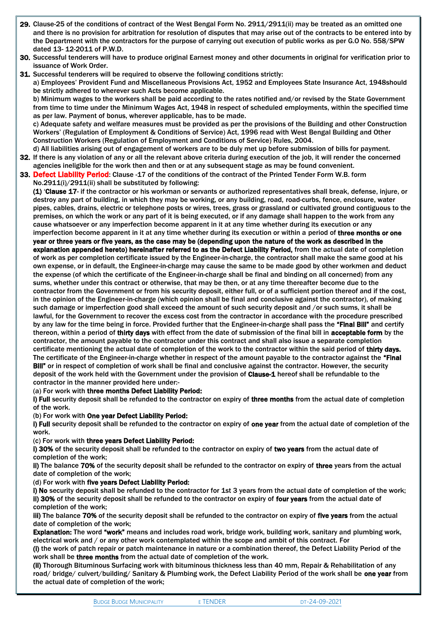- 29. Clause-25 of the conditions of contract of the West Bengal Form No. 2911/2911(ii) may be treated as an omitted one and there is no provision for arbitration for resolution of disputes that may arise out of the contracts to be entered into by the Department with the contractors for the purpose of carrying out execution of public works as per G.O No. 558/SPW dated 13- 12-2011 of P.W.D.
- 30. Successful tenderers will have to produce original Earnest money and other documents in original for verification prior to issuance of Work Order.
- 31. Successful tenderers will be required to observe the following conditions strictly:

a) Employees' Provident Fund and Miscellaneous Provisions Act, 1952 and Employees State Insurance Act, 1948should be strictly adhered to wherever such Acts become applicable.

b) Minimum wages to the workers shall be paid according to the rates notified and/or revised by the State Government from time to time under the Minimum Wages Act, 1948 in respect of scheduled employments, within the specified time as per law. Payment of bonus, wherever applicable, has to be made.

c) Adequate safety and welfare measures must be provided as per the provisions of the Building and other Construction Workers' (Regulation of Employment & Conditions of Service) Act, 1996 read with West Bengal Building and Other Construction Workers (Regulation of Employment and Conditions of Service) Rules, 2004.

- d) All liabilities arising out of engagement of workers are to be duly met up before submission of bills for payment.
- 32. If there is any violation of any or all the relevant above criteria during execution of the job, it will render the concerned agencies ineligible for the work then and then or at any subsequent stage as may be found convenient.
- 33. Defect Liability Period: Clause -17 of the conditions of the contract of the Printed Tender Form W.B. form No.2911(i)/2911(ii) shall be substituted by following:

(1) 'Clause 17- if the contractor or his workman or servants or authorized representatives shall break, defense, injure, or destroy any part of building, in which they may be working, or any building, road, road-curbs, fence, enclosure, water pipes, cables, drains, electric or telephone posts or wires, trees, grass or grassland or cultivated ground contiguous to the premises, on which the work or any part of it is being executed, or if any damage shall happen to the work from any cause whatsoever or any imperfection become apparent in it at any time whether during its execution or any imperfection become apparent in it at any time whether during its execution or within a period of three months or one

year or three years or five years, as the case may be (depending upon the nature of the work as described in the explanation appended hereto) hereinafter referred to as the Defect Liability Period, from the actual date of completion of work as per completion certificate issued by the Engineer-in-charge, the contractor shall make the same good at his own expense, or in default, the Engineer-in-charge may cause the same to be made good by other workmen and deduct the expense (of which the certificate of the Engineer-in-charge shall be final and binding on all concerned) from any sums, whether under this contract or otherwise, that may be then, or at any time thereafter become due to the contractor from the Government or from his security deposit, either full, or of a sufficient portion thereof and if the cost, in the opinion of the Engineer-in-charge (which opinion shall be final and conclusive against the contractor), of making such damage or imperfection good shall exceed the amount of such security deposit and /or such sums, it shall be lawful, for the Government to recover the excess cost from the contractor in accordance with the procedure prescribed by any law for the time being in force. Provided further that the Engineer-in-charge shall pass the "Final Bill" and certify thereon, within a period of thirty days with effect from the date of submission of the final bill in acceptable form by the contractor, the amount payable to the contractor under this contract and shall also issue a separate completion certificate mentioning the actual date of completion of the work to the contractor within the said period of thirty days. The certificate of the Engineer-in-charge whether in respect of the amount payable to the contractor against the "Final Bill" or in respect of completion of work shall be final and conclusive against the contractor. However, the security deposit of the work held with the Government under the provision of Clause-1 hereof shall be refundable to the contractor in the manner provided here under:-

#### (a) For work with three months Defect Liability Period:

i) Full security deposit shall be refunded to the contractor on expiry of three months from the actual date of completion of the work.

#### (b) For work with One year Defect Liability Period:

i) Full security deposit shall be refunded to the contractor on expiry of one year from the actual date of completion of the work.

#### (c) For work with three years Defect Liability Period:

i) 30% of the security deposit shall be refunded to the contractor on expiry of two years from the actual date of completion of the work;

ii) The balance 70% of the security deposit shall be refunded to the contractor on expiry of three years from the actual date of completion of the work;

#### (d) For work with five years Defect Liability Period:

i) No security deposit shall be refunded to the contractor for 1st 3 years from the actual date of completion of the work; ii) 30% of the security deposit shall be refunded to the contractor on expiry of four years from the actual date of completion of the work;

iii) The balance 70% of the security deposit shall be refunded to the contractor on expiry of five years from the actual date of completion of the work;

Explanation: The word "work" means and includes road work, bridge work, building work, sanitary and plumbing work, electrical work and / or any other work contemplated within the scope and ambit of this contract. For

(i) the work of patch repair or patch maintenance in nature or a combination thereof, the Defect Liability Period of the work shall be three months from the actual date of completion of the work.

(ii) Thorough Bituminous Surfacing work with bituminous thickness less than 40 mm, Repair & Rehabilitation of any road/ bridge/ culvert/building/ Sanitary & Plumbing work, the Defect Liability Period of the work shall be one year from the actual date of completion of the work;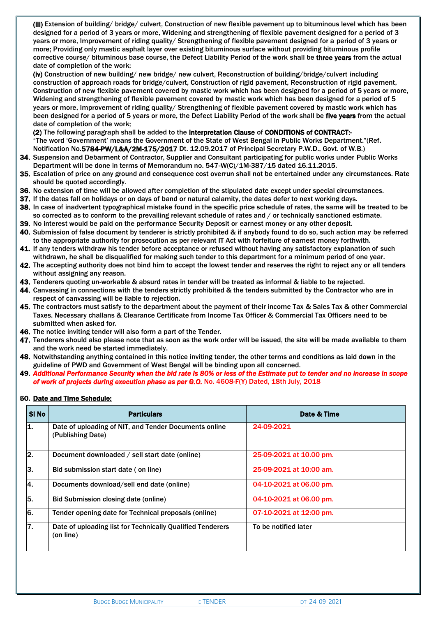(iii) Extension of building/ bridge/ culvert, Construction of new flexible pavement up to bituminous level which has been designed for a period of 3 years or more, Widening and strengthening of flexible pavement designed for a period of 3 years or more, Improvement of riding quality/ Strengthening of flexible pavement designed for a period of 3 years or more; Providing only mastic asphalt layer over existing bituminous surface without providing bituminous profile corrective course/ bituminous base course, the Defect Liability Period of the work shall be three years from the actual date of completion of the work;

(iv) Construction of new building/ new bridge/ new culvert, Reconstruction of building/bridge/culvert including construction of approach roads for bridge/culvert, Construction of rigid pavement, Reconstruction of rigid pavement, Construction of new flexible pavement covered by mastic work which has been designed for a period of 5 years or more, Widening and strengthening of flexible pavement covered by mastic work which has been designed for a period of 5 years or more, Improvement of riding quality/ Strengthening of flexible pavement covered by mastic work which has been designed for a period of 5 years or more, the Defect Liability Period of the work shall be five years from the actual date of completion of the work;

(2) The following paragraph shall be added to the Interpretation Clause of CONDITIONS of CONTRACT:- "The word 'Government' means the Government of the State of West Bengal in Public Works Department."(Ref. Notification No.5784-PW/L&A/2M-175/2017 Dt. 12.09.2017 of Principal Secretary P.W.D., Govt. of W.B.)

- 34. Suspension and Debarment of Contractor, Supplier and Consultant participating for public works under Public Works Department will be done in terms of Memorandum no. 547-W(C)/1M-387/15 dated 16.11.2015.
- 35. Escalation of price on any ground and consequence cost overrun shall not be entertained under any circumstances. Rate should be quoted accordingly.
- 36. No extension of time will be allowed after completion of the stipulated date except under special circumstances.
- 37. If the dates fall on holidays or on days of band or natural calamity, the dates defer to next working days.
- 38. In case of inadvertent typographical mistake found in the specific price schedule of rates, the same will be treated to be so corrected as to conform to the prevailing relevant schedule of rates and / or technically sanctioned estimate.
- 39. No interest would be paid on the performance Security Deposit or earnest money or any other deposit.
- 40. Submission of false document by tenderer is strictly prohibited & if anybody found to do so, such action may be referred to the appropriate authority for prosecution as per relevant IT Act with forfeiture of earnest money forthwith.
- 41. If any tenders withdraw his tender before acceptance or refused without having any satisfactory explanation of such withdrawn, he shall be disqualified for making such tender to this department for a minimum period of one year.
- 42. The accepting authority does not bind him to accept the lowest tender and reserves the right to reject any or all tenders without assigning any reason.
- 43. Tenderers quoting un-workable & absurd rates in tender will be treated as informal & liable to be rejected.
- 44. Canvassing in connections with the tenders strictly prohibited & the tenders submitted by the Contractor who are in respect of canvassing will be liable to rejection.
- 45. The contractors must satisfy to the department about the payment of their income Tax & Sales Tax & other Commercial Taxes. Necessary challans & Clearance Certificate from Income Tax Officer & Commercial Tax Officers need to be submitted when asked for.
- 46. The notice inviting tender will also form a part of the Tender.
- 47. Tenderers should also please note that as soon as the work order will be issued, the site will be made available to them and the work need be started immediately.
- 48. Notwithstanding anything contained in this notice inviting tender, the other terms and conditions as laid down in the guideline of PWD and Government of West Bengal will be binding upon all concerned.
- 49. *Additional Performance Security when the bid rate is 80% or less of the Estimate put to tender and no increase in scope of work of projects during execution phase as per G.O.* No. 4608-F(Y) Dated, 18th July, 2018

#### 50. Date and Time Schedule:

| SI No | <b>Particulars</b>                                                         | Date & Time             |
|-------|----------------------------------------------------------------------------|-------------------------|
| 11.   | Date of uploading of NIT, and Tender Documents online<br>(Publishing Date) | 24-09-2021              |
| 2.    | Document downloaded / sell start date (online)                             | 25-09-2021 at 10.00 pm. |
| З.    | Bid submission start date (on line)                                        | 25-09-2021 at 10:00 am. |
| 4.    | Documents download/sell end date (online)                                  | 04-10-2021 at 06.00 pm. |
| 5.    | Bid Submission closing date (online)                                       | 04-10-2021 at 06.00 pm. |
| 6.    | Tender opening date for Technical proposals (online)                       | 07-10-2021 at 12:00 pm. |
| 7.    | Date of uploading list for Technically Qualified Tenderers<br>(on line)    | To be notified later    |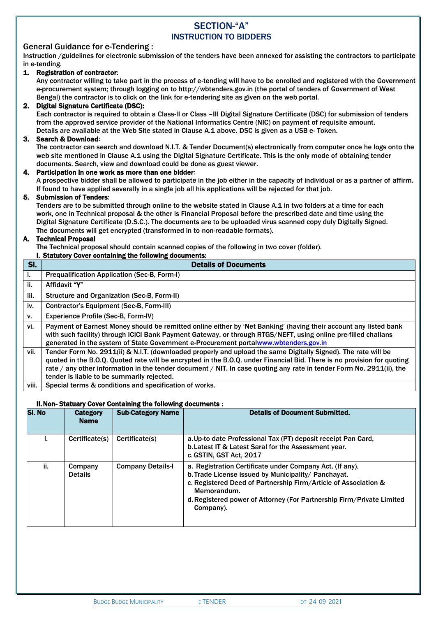## SECTION-"A" INSTRUCTION TO BIDDERS

#### General Guidance for e-Tendering :

Instruction /guidelines for electronic submission of the tenders have been annexed for assisting the contractors to participate in e-tending.

#### 1. Registration of contractor:

Any contractor willing to take part in the process of e-tending will have to be enrolled and registered with the Government e-procurement system; through logging on to http://wbtenders.gov.in (the portal of tenders of Government of West Bengal) the contractor is to click on the link for e-tendering site as given on the web portal.

#### 2. Digital Signature Certificate (DSC):

Each contractor is required to obtain a Class-II or Class –III Digital Signature Certificate (DSC) for submission of tenders from the approved service provider of the National Informatics Centre (NIC) on payment of requisite amount. Details are available at the Web Site stated in Clause A.1 above. DSC is given as a USB e- Token.

#### 3. Search & Download:

The contractor can search and download N.I.T. & Tender Document(s) electronically from computer once he logs onto the web site mentioned in Clause A.1 using the Digital Signature Certificate. This is the only mode of obtaining tender documents. Search, view and download could be done as guest viewer.

#### 4. Participation in one work as more than one bidder:

A prospective bidder shall be allowed to participate in the job either in the capacity of individual or as a partner of affirm. If found to have applied severally in a single job all his applications will be rejected for that job.

#### 5. Submission of Tenders:

Tenders are to be submitted through online to the website stated in Clause A.1 in two folders at a time for each work, one in Technical proposal & the other is Financial Proposal before the prescribed date and time using the Digital Signature Certificate (D.S.C.). The documents are to be uploaded virus scanned copy duly Digitally Signed. The documents will get encrypted (transformed in to non-readable formats).

#### A. Technical Proposal

The Technical proposal should contain scanned copies of the following in two cover (folder).

|       | I. Statutory Cover containing the following documents:                                                                                                                                                                                                                                                                                                                                                          |  |  |  |  |  |  |  |
|-------|-----------------------------------------------------------------------------------------------------------------------------------------------------------------------------------------------------------------------------------------------------------------------------------------------------------------------------------------------------------------------------------------------------------------|--|--|--|--|--|--|--|
| SI.   | <b>Details of Documents</b>                                                                                                                                                                                                                                                                                                                                                                                     |  |  |  |  |  |  |  |
| i.    | <b>Prequalification Application (Sec-B, Form-I)</b>                                                                                                                                                                                                                                                                                                                                                             |  |  |  |  |  |  |  |
| ii.   | Affidavit "Y"                                                                                                                                                                                                                                                                                                                                                                                                   |  |  |  |  |  |  |  |
| iii.  | Structure and Organization (Sec-B, Form-II)                                                                                                                                                                                                                                                                                                                                                                     |  |  |  |  |  |  |  |
| iv.   | Contractor's Equipment (Sec-B, Form-III)                                                                                                                                                                                                                                                                                                                                                                        |  |  |  |  |  |  |  |
| v.    | Experience Profile (Sec-B, Form-IV)                                                                                                                                                                                                                                                                                                                                                                             |  |  |  |  |  |  |  |
| vi.   | Payment of Earnest Money should be remitted online either by 'Net Banking' (having their account any listed bank<br>with such facility) through ICICI Bank Payment Gateway, or through RTGS/NEFT, using online pre-filled challans<br>generated in the system of State Government e-Procurement portalwww.wbtenders.gov.in                                                                                      |  |  |  |  |  |  |  |
| vii.  | Tender Form No. 2911(ii) & N.I.T. (downloaded properly and upload the same Digitally Signed). The rate will be<br>quoted in the B.O.Q. Quoted rate will be encrypted in the B.O.Q. under Financial Bid. There is no provision for quoting<br>rate / any other information in the tender document / NIT. In case quoting any rate in tender Form No. 2911(ii), the<br>tender is liable to be summarily rejected. |  |  |  |  |  |  |  |
| viii. | Special terms & conditions and specification of works.                                                                                                                                                                                                                                                                                                                                                          |  |  |  |  |  |  |  |

#### II.Non- Statuary Cover Containing the following documents :

| <b>SI. No</b> | Category<br><b>Name</b>   | <b>Sub-Category Name</b> | <b>Details of Document Submitted.</b>                                                                                                                                                                                                                                                   |
|---------------|---------------------------|--------------------------|-----------------------------------------------------------------------------------------------------------------------------------------------------------------------------------------------------------------------------------------------------------------------------------------|
|               | Certificate(s)            | Certificate(s)           | a. Up-to date Professional Tax (PT) deposit receipt Pan Card,<br>b. Latest IT & Latest Saral for the Assessment year.<br>c. GSTIN, GST Act, 2017                                                                                                                                        |
| ii.           | Company<br><b>Details</b> | <b>Company Details-I</b> | a. Registration Certificate under Company Act. (If any).<br>b. Trade License issued by Municipality/ Panchayat.<br>c. Registered Deed of Partnership Firm/Article of Association &<br>Memorandum.<br>d. Registered power of Attorney (For Partnership Firm/Private Limited<br>Company). |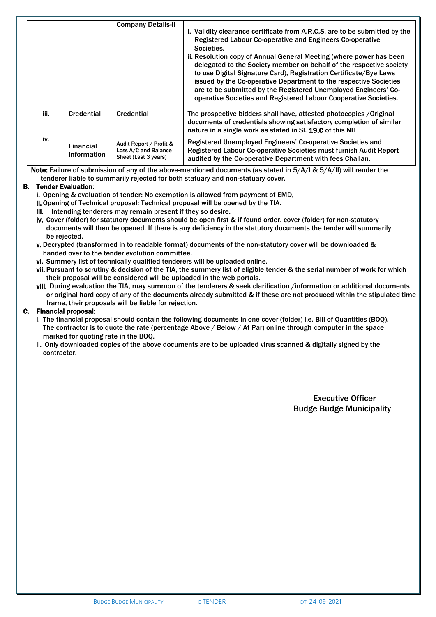|      |                                        | <b>Company Details-II</b>                                               | i. Validity clearance certificate from A.R.C.S. are to be submitted by the<br>Registered Labour Co-operative and Engineers Co-operative<br>Societies.<br>ii. Resolution copy of Annual General Meeting (where power has been<br>delegated to the Society member on behalf of the respective society<br>to use Digital Signature Card), Registration Certificate/Bye Laws<br>issued by the Co-operative Department to the respective Societies<br>are to be submitted by the Registered Unemployed Engineers' Co-<br>operative Societies and Registered Labour Cooperative Societies. |
|------|----------------------------------------|-------------------------------------------------------------------------|--------------------------------------------------------------------------------------------------------------------------------------------------------------------------------------------------------------------------------------------------------------------------------------------------------------------------------------------------------------------------------------------------------------------------------------------------------------------------------------------------------------------------------------------------------------------------------------|
| iii. | Credential                             | Credential                                                              | The prospective bidders shall have, attested photocopies / Original<br>documents of credentials showing satisfactory completion of similar<br>nature in a single work as stated in SI. 19.C of this NIT                                                                                                                                                                                                                                                                                                                                                                              |
| iv.  | <b>Financial</b><br><b>Information</b> | Audit Report / Profit &<br>Loss A/C and Balance<br>Sheet (Last 3 years) | Registered Unemployed Engineers' Co-operative Societies and<br>Registered Labour Co-operative Societies must furnish Audit Report<br>audited by the Co-operative Department with fees Challan.                                                                                                                                                                                                                                                                                                                                                                                       |

Note: Failure of submission of any of the above-mentioned documents (as stated in 5/A/I & 5/A/II) will render the tenderer liable to summarily rejected for both statuary and non-statuary cover.

#### B. Tender Evaluation:

i. Opening & evaluation of tender: No exemption is allowed from payment of EMD,

- ii. Opening of Technical proposal: Technical proposal will be opened by the TIA.
- iii. Intending tenderers may remain present if they so desire.
- iv. Cover (folder) for statutory documents should be open first & if found order, cover (folder) for non-statutory documents will then be opened. If there is any deficiency in the statutory documents the tender will summarily be rejected.
- v. Decrypted (transformed in to readable format) documents of the non-statutory cover will be downloaded & handed over to the tender evolution committee.
- vi. Summery list of technically qualified tenderers will be uploaded online.
- vii. Pursuant to scrutiny & decision of the TIA, the summery list of eligible tender & the serial number of work for which their proposal will be considered will be uploaded in the web portals.
- viii. During evaluation the TIA, may summon of the tenderers & seek clarification /information or additional documents or original hard copy of any of the documents already submitted & if these are not produced within the stipulated time frame, their proposals will be liable for rejection.

#### C. Financial proposal:

- i. The financial proposal should contain the following documents in one cover (folder) i.e. Bill of Quantities (BOQ). The contractor is to quote the rate (percentage Above / Below / At Par) online through computer in the space marked for quoting rate in the BOQ.
- ii. Only downloaded copies of the above documents are to be uploaded virus scanned & digitally signed by the contractor.

Executive Officer Budge Budge Municipality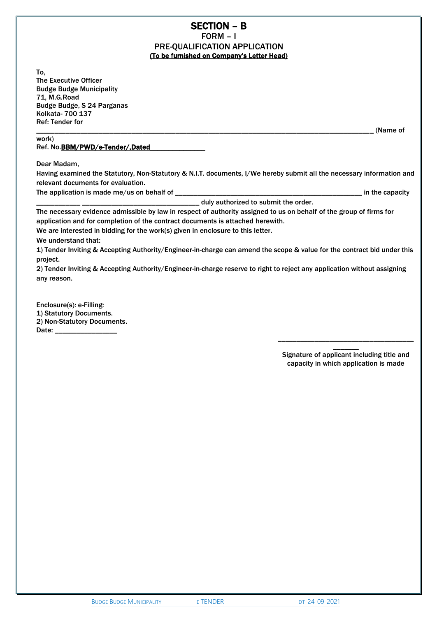# SECTION – B

FORM – I PRE-QUALIFICATION APPLICATION (To be furnished on Company's Letter Head)

To, The Executive Officer Budge Budge Municipality 71, M.G.Road Budge Budge, S 24 Parganas Kolkata- 700 137 Ref: Tender for

\_\_\_\_\_\_\_\_\_\_\_\_\_\_\_\_\_\_\_\_\_\_\_\_\_\_\_\_\_\_\_\_\_\_\_\_\_\_\_\_\_\_\_\_\_\_\_\_\_\_\_\_\_\_\_\_\_\_\_\_\_\_\_\_\_\_\_\_\_\_\_\_\_\_\_\_\_\_\_\_\_\_\_\_\_\_\_\_\_\_\_\_ (Name of

#### work) Ref. No.BBM/PWD/e-Tender/,Dated

Dear Madam,

Having examined the Statutory, Non-Statutory & N.I.T. documents, I/We hereby submit all the necessary information and relevant documents for evaluation.

The application is made me/us on behalf of \_\_\_\_\_\_\_\_\_\_\_\_\_\_\_\_\_\_\_\_\_\_\_\_\_\_\_\_\_\_\_\_\_\_\_\_\_\_\_\_\_\_\_\_\_\_\_\_\_\_\_ in the capacity

\_\_\_\_\_\_\_\_\_\_\_\_ \_\_\_\_\_\_\_\_\_\_\_\_\_\_\_\_\_\_\_\_\_\_\_\_\_\_\_\_\_\_\_\_ duly authorized to submit the order.

The necessary evidence admissible by law in respect of authority assigned to us on behalf of the group of firms for application and for completion of the contract documents is attached herewith.

We are interested in bidding for the work(s) given in enclosure to this letter.

We understand that:

1) Tender Inviting & Accepting Authority/Engineer-in-charge can amend the scope & value for the contract bid under this project.

2) Tender Inviting & Accepting Authority/Engineer-in-charge reserve to right to reject any application without assigning any reason.

Enclosure(s): e-Filling: 1) Statutory Documents. 2) Non-Statutory Documents. Date: \_\_\_\_\_\_\_\_\_\_\_\_\_\_\_\_\_

> \_\_\_\_\_\_\_ Signature of applicant including title and capacity in which application is made

\_\_\_\_\_\_\_\_\_\_\_\_\_\_\_\_\_\_\_\_\_\_\_\_\_\_\_\_\_\_\_\_\_\_\_\_\_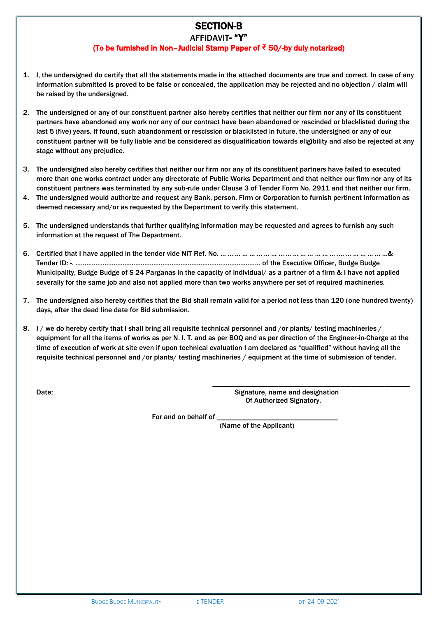### SECTION-B AFFIDAVIT- "Y"

## (To be furnished in Non–Judicial Stamp Paper of **₹** 50/-by duly notarized)

- 1. I, the undersigned do certify that all the statements made in the attached documents are true and correct. In case of any information submitted is proved to be false or concealed, the application may be rejected and no objection / claim will be raised by the undersigned.
- 2. The undersigned or any of our constituent partner also hereby certifies that neither our firm nor any of its constituent partners have abandoned any work nor any of our contract have been abandoned or rescinded or blacklisted during the last 5 (five) years. If found, such abandonment or rescission or blacklisted in future, the undersigned or any of our constituent partner will be fully liable and be considered as disqualification towards eligibility and also be rejected at any stage without any prejudice.
- 3. The undersigned also hereby certifies that neither our firm nor any of its constituent partners have failed to executed more than one works contract under any directorate of Public Works Department and that neither our firm nor any of its constituent partners was terminated by any sub-rule under Clause 3 of Tender Form No. 2911 and that neither our firm.
- 4. The undersigned would authorize and request any Bank, person, Firm or Corporation to furnish pertinent information as deemed necessary and/or as requested by the Department to verify this statement.
- 5. The undersigned understands that further qualifying information may be requested and agrees to furnish any such information at the request of The Department.
- 6. Certified that I have applied in the tender vide NIT Ref. No. … … … … … … … … … … … … … … … … …. … … … … … …& Tender ID: -. ………………………………………………………………………………………… of the Executive Officer, Budge Budge Municipality, Budge Budge of S 24 Parganas in the capacity of individual/ as a partner of a firm & I have not applied severally for the same job and also not applied more than two works anywhere per set of required machineries.
- 7. The undersigned also hereby certifies that the Bid shall remain valid for a period not less than 120 (one hundred twenty) days, after the dead line date for Bid submission.
- 8. I / we do hereby certify that I shall bring all requisite technical personnel and /or plants/ testing machineries / equipment for all the items of works as per N. I. T. and as per BOQ and as per direction of the Engineer-in-Charge at the time of execution of work at site even if upon technical evaluation I am declared as "qualified" without having all the requisite technical personnel and /or plants/ testing machineries / equipment at the time of submission of tender.

 $\frac{1}{\sqrt{2}}$  ,  $\frac{1}{\sqrt{2}}$  ,  $\frac{1}{\sqrt{2}}$  ,  $\frac{1}{\sqrt{2}}$  ,  $\frac{1}{\sqrt{2}}$  ,  $\frac{1}{\sqrt{2}}$  ,  $\frac{1}{\sqrt{2}}$  ,  $\frac{1}{\sqrt{2}}$  ,  $\frac{1}{\sqrt{2}}$  ,  $\frac{1}{\sqrt{2}}$  ,  $\frac{1}{\sqrt{2}}$  ,  $\frac{1}{\sqrt{2}}$  ,  $\frac{1}{\sqrt{2}}$  ,  $\frac{1}{\sqrt{2}}$  ,  $\frac{1}{\sqrt{2}}$ 

Date: Signature, name and designation between the Society of Signature, name and designation Of Authorized Signatory.

For and on behalf of

(Name of the Applicant)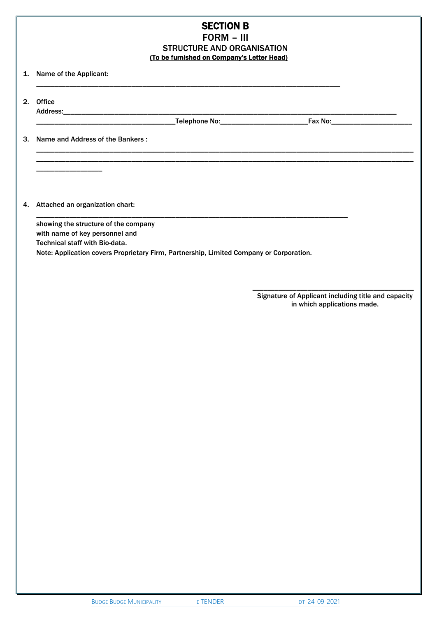## SECTION B FORM – III STRUCTURE AND ORGANISATION (To be furnished on Company's Letter Head)

\_\_\_\_\_\_\_\_\_\_\_\_\_\_\_\_\_\_\_\_\_\_\_\_\_\_\_\_\_\_\_\_\_\_\_\_\_\_\_\_\_\_\_\_\_\_\_\_\_\_\_\_\_\_\_\_\_\_\_\_\_\_\_\_\_\_\_\_\_\_\_\_\_\_\_\_\_\_\_\_\_\_\_\_\_\_\_\_\_\_\_\_\_\_\_\_\_\_\_\_\_\_\_ \_\_\_\_\_\_\_\_\_\_\_\_\_\_\_\_\_\_\_\_\_\_\_\_\_\_\_\_\_\_\_\_\_\_\_\_\_\_\_\_\_\_\_\_\_\_\_\_\_\_\_\_\_\_\_\_\_\_\_\_\_\_\_\_\_\_\_\_\_\_\_\_\_\_\_\_\_\_\_\_\_\_\_\_\_\_\_\_\_\_\_\_\_\_\_\_\_\_\_\_\_\_\_

1. Name of the Applicant:

2. Office Address:\_\_\_\_\_\_\_\_\_\_\_\_\_\_\_\_\_\_\_\_\_\_\_\_\_\_\_\_\_\_\_\_\_\_\_\_\_\_\_\_\_\_\_\_\_\_\_\_\_\_\_\_\_\_\_\_\_\_\_\_\_\_\_\_\_\_\_\_\_\_\_\_\_\_\_\_\_\_\_\_\_\_\_\_\_\_\_\_\_\_\_

\_\_\_\_\_\_\_\_\_\_\_\_\_\_\_\_\_\_\_\_\_\_\_\_\_\_\_\_\_\_\_\_\_\_\_\_\_\_\_\_\_\_\_\_\_\_\_\_\_\_\_\_\_\_\_\_\_\_\_\_\_\_\_\_\_\_\_\_\_\_\_\_\_\_\_\_\_\_\_\_\_\_\_\_\_

\_\_\_\_\_\_\_\_\_\_\_\_\_\_\_\_\_\_\_\_\_\_\_\_\_\_\_\_\_\_\_\_\_\_\_\_\_\_\_\_\_\_\_\_\_\_\_\_\_\_\_\_\_\_\_\_\_\_\_\_\_\_\_\_\_\_\_\_\_\_\_\_\_\_\_\_\_\_\_\_\_\_\_

\_\_\_\_\_\_\_\_\_\_\_\_\_\_\_\_\_\_\_\_\_\_\_\_\_\_\_\_\_\_\_\_\_\_\_\_\_\_Telephone No:\_\_\_\_\_\_\_\_\_\_\_\_\_\_\_\_\_\_\_\_\_\_\_\_Fax No:\_\_\_\_\_\_\_\_\_\_\_\_\_\_\_\_\_\_\_\_\_\_

3. Name and Address of the Bankers :

4. Attached an organization chart:

\_\_\_\_\_\_\_\_\_\_\_\_\_\_\_\_\_\_

showing the structure of the company with name of key personnel and Technical staff with Bio-data. Note: Application covers Proprietary Firm, Partnership, Limited Company or Corporation.

> Signature of Applicant including title and capacity in which applications made.

\_\_\_\_\_\_\_\_\_\_\_\_\_\_\_\_\_\_\_\_\_\_\_\_\_\_\_\_\_\_\_\_\_\_\_\_\_\_\_\_\_\_\_\_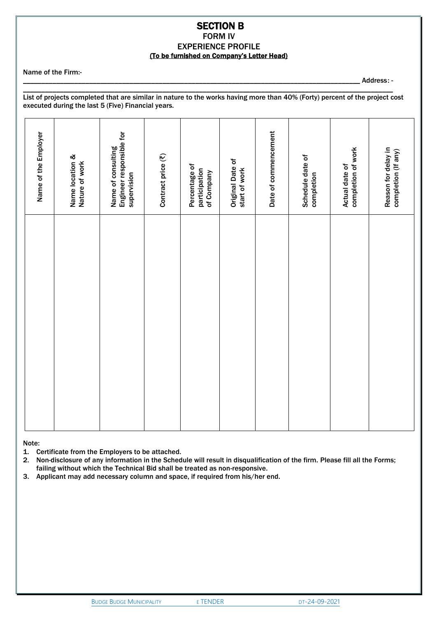#### SECTION B FORM IV EXPERIENCE PROFILE (To be furnished on Company's Letter Head)

Name of the Firm:-

\_\_\_\_\_\_\_\_\_\_\_\_\_\_\_\_\_\_\_\_\_\_\_\_\_\_\_\_\_\_\_\_\_\_\_\_\_\_\_\_\_\_\_\_\_\_\_\_\_\_\_\_\_\_\_\_\_\_\_\_\_\_\_\_\_\_\_\_\_\_\_\_\_\_\_\_\_\_\_\_\_\_\_\_\_\_\_\_\_\_\_\_ Address: -

List of projects completed that are similar in nature to the works having more than 40% (Forty) percent of the project cost executed during the last 5 (Five) Financial years.

\_\_\_\_\_\_\_\_\_\_\_\_\_\_\_\_\_\_\_\_\_\_\_\_\_\_\_\_\_\_\_\_\_\_\_\_\_\_\_\_\_\_\_\_\_\_\_\_\_\_\_\_\_\_\_\_\_\_\_\_\_\_\_\_\_\_\_\_\_\_\_\_\_\_\_\_\_\_\_\_\_\_\_\_\_\_\_\_\_\_\_\_\_\_\_\_\_\_\_\_\_

| Engineer responsible for<br>Name of consulting<br>Reason for delay in<br>completion of work<br>completion (If any)<br>Contract price (₹)<br>Name location &<br>Schedule date of<br>Original Date of<br>Nature of work<br>Percentage of<br>Actual date of<br>start of work<br>participation<br>of Company<br>supervision<br>completion | Name of the Employer |
|---------------------------------------------------------------------------------------------------------------------------------------------------------------------------------------------------------------------------------------------------------------------------------------------------------------------------------------|----------------------|
|                                                                                                                                                                                                                                                                                                                                       |                      |
|                                                                                                                                                                                                                                                                                                                                       |                      |
|                                                                                                                                                                                                                                                                                                                                       |                      |
|                                                                                                                                                                                                                                                                                                                                       |                      |
|                                                                                                                                                                                                                                                                                                                                       |                      |
|                                                                                                                                                                                                                                                                                                                                       | Date of commencement |
|                                                                                                                                                                                                                                                                                                                                       |                      |
|                                                                                                                                                                                                                                                                                                                                       |                      |
|                                                                                                                                                                                                                                                                                                                                       |                      |

Note:

1. Certificate from the Employers to be attached.

2. Non-disclosure of any information in the Schedule will result in disqualification of the firm. Please fill all the Forms; failing without which the Technical Bid shall be treated as non-responsive.

3. Applicant may add necessary column and space, if required from his/her end.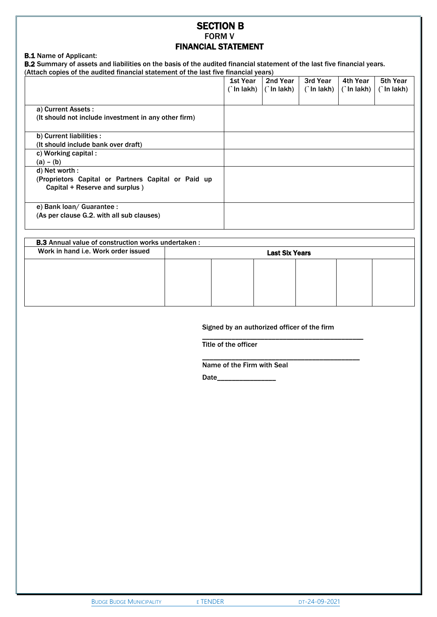## SECTION B FORM V FINANCIAL STATEMENT

#### B.1 Name of Applicant:

**B.2** Summary of assets and liabilities on the basis of the audited financial statement of the last five financial years. (Attach copies of the audited financial statement of the last five financial years)

|                                                      | 1st Year | 2nd Year<br>$\int$ In lakh) $\int$ In lakh) | 3rd Year<br>$\int$ In lakh) $\vert$ | 4th Year<br>$\hat{\ }$ In lakh) | 5th Year<br>$(\hat{\ }$ In lakh) |
|------------------------------------------------------|----------|---------------------------------------------|-------------------------------------|---------------------------------|----------------------------------|
|                                                      |          |                                             |                                     |                                 |                                  |
| a) Current Assets :                                  |          |                                             |                                     |                                 |                                  |
| (It should not include investment in any other firm) |          |                                             |                                     |                                 |                                  |
| b) Current liabilities :                             |          |                                             |                                     |                                 |                                  |
| (It should include bank over draft)                  |          |                                             |                                     |                                 |                                  |
| c) Working capital :                                 |          |                                             |                                     |                                 |                                  |
| $(a) - (b)$                                          |          |                                             |                                     |                                 |                                  |
| d) Net worth :                                       |          |                                             |                                     |                                 |                                  |
| (Proprietors Capital or Partners Capital or Paid up  |          |                                             |                                     |                                 |                                  |
| Capital + Reserve and surplus)                       |          |                                             |                                     |                                 |                                  |
|                                                      |          |                                             |                                     |                                 |                                  |
| e) Bank loan/ Guarantee :                            |          |                                             |                                     |                                 |                                  |
| (As per clause G.2. with all sub clauses)            |          |                                             |                                     |                                 |                                  |
|                                                      |          |                                             |                                     |                                 |                                  |

| <b>B.3</b> Annual value of construction works undertaken: |                       |  |  |  |  |  |  |
|-----------------------------------------------------------|-----------------------|--|--|--|--|--|--|
| Work in hand i.e. Work order issued                       | <b>Last Six Years</b> |  |  |  |  |  |  |
|                                                           |                       |  |  |  |  |  |  |
|                                                           |                       |  |  |  |  |  |  |
|                                                           |                       |  |  |  |  |  |  |
|                                                           |                       |  |  |  |  |  |  |

Signed by an authorized officer of the firm

\_\_\_\_\_\_\_\_\_\_\_\_\_\_\_\_\_\_\_\_\_\_\_\_\_\_\_\_\_\_\_\_\_\_\_\_\_\_\_\_\_\_\_\_

\_\_\_\_\_\_\_\_\_\_\_\_\_\_\_\_\_\_\_\_\_\_\_\_\_\_\_\_\_\_\_\_\_\_\_\_\_\_\_\_\_\_\_

Title of the officer

Name of the Firm with Seal

Date\_\_\_\_\_\_\_\_\_\_\_\_\_\_\_\_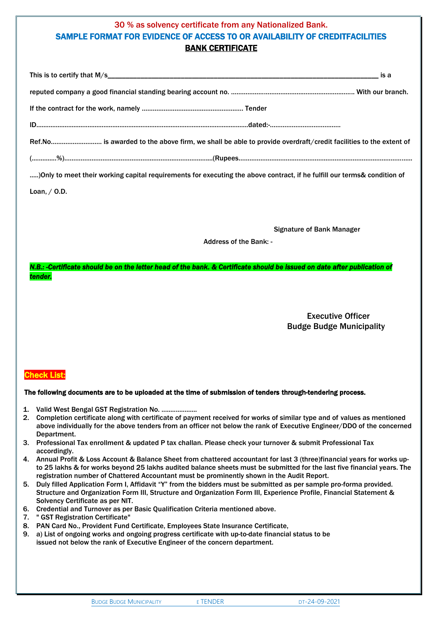## 30 % as solvency certificate from any Nationalized Bank. SAMPLE FORMAT FOR EVIDENCE OF ACCESS TO OR AVAILABILITY OF CREDITFACILITIES BANK CERTIFICATE

| is a                                                                                                                      |  |
|---------------------------------------------------------------------------------------------------------------------------|--|
|                                                                                                                           |  |
|                                                                                                                           |  |
| $\text{ID} \text{}{\text{}} \text{}{\text{}} \text{}{\text{}} \text{}{\text{}} \text{}{\text{}}$                          |  |
| Ref.No is awarded to the above firm, we shall be able to provide overdraft/credit facilities to the extent of             |  |
|                                                                                                                           |  |
| ) Only to meet their working capital requirements for executing the above contract, if he fulfill our terms& condition of |  |
| Loan, $/$ O.D.                                                                                                            |  |

Signature of Bank Manager

Address of the Bank: -

*N.B.: -Certificate should be on the letter head of the bank. & Certificate should be issued on date after publication of tender.* 

> Executive Officer Budge Budge Municipality

## Check List:

#### The following documents are to be uploaded at the time of submission of tenders through-tendering process.

- 1. Valid West Bengal GST Registration No. ....................
- 2. Completion certificate along with certificate of payment received for works of similar type and of values as mentioned above individually for the above tenders from an officer not below the rank of Executive Engineer/DDO of the concerned Department.
- 3. Professional Tax enrollment & updated P tax challan. Please check your turnover & submit Professional Tax accordingly.
- 4. Annual Profit & Loss Account & Balance Sheet from chattered accountant for last 3 (three)financial years for works upto 25 lakhs & for works beyond 25 lakhs audited balance sheets must be submitted for the last five financial years. The registration number of Chattered Accountant must be prominently shown in the Audit Report.
- 5. Duly filled Application Form I, Affidavit "Y" from the bidders must be submitted as per sample pro-forma provided. Structure and Organization Form III, Structure and Organization Form III, Experience Profile, Financial Statement & Solvency Certificate as per NIT.
- 6. Credential and Turnover as per Basic Qualification Criteria mentioned above.
- 7. " GST Registration Certificate"
- 8. PAN Card No., Provident Fund Certificate, Employees State Insurance Certificate,
- 9. a) List of ongoing works and ongoing progress certificate with up-to-date financial status to be issued not below the rank of Executive Engineer of the concern department.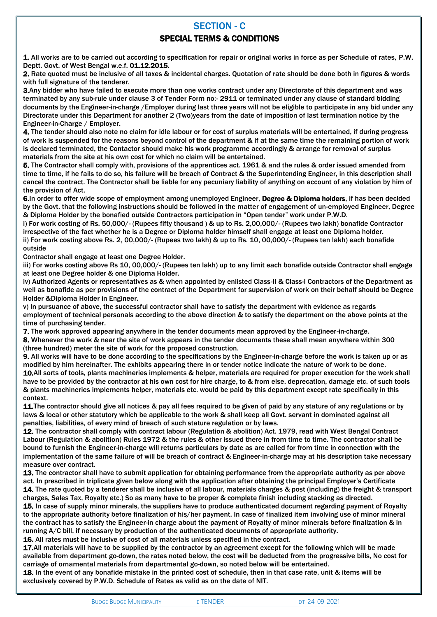## SECTION - C

## SPECIAL TERMS & CONDITIONS

1. All works are to be carried out according to specification for repair or original works in force as per Schedule of rates, P.W. Deptt. Govt. of West Bengal w.e.f. 01.12.2015.

2. Rate quoted must be inclusive of all taxes & incidental charges. Quotation of rate should be done both in figures & words with full signature of the tenderer.

3.Any bidder who have failed to execute more than one works contract under any Directorate of this department and was terminated by any sub-rule under clause 3 of Tender Form no:- 2911 or terminated under any clause of standard bidding documents by the Engineer-in-charge /Employer during last three years will not be eligible to participate in any bid under any Directorate under this Department for another 2 (Two)years from the date of imposition of last termination notice by the Engineer-in-Charge / Employer.

4. The tender should also note no claim for idle labour or for cost of surplus materials will be entertained, if during progress of work is suspended for the reasons beyond control of the department & if at the same time the remaining portion of work is declared terminated, the Contactor should make his work programme accordingly & arrange for removal of surplus materials from the site at his own cost for which no claim will be entertained.

5. The Contractor shall comply with, provisions of the apprentices act. 1961 & and the rules & order issued amended from time to time, if he fails to do so, his failure will be breach of Contract & the Superintending Engineer, in this description shall cancel the contract. The Contractor shall be liable for any pecuniary liability of anything on account of any violation by him of the provision of Act.

6.In order to offer wide scope of employment among unemployed Engineer, Degree & Diploma holders, if has been decided by the Govt. that the following instructions should be followed in the matter of engagement of un-employed Engineer, Degree & Diploma Holder by the bonafied outside Contractors participation in "Open tender" work under P.W.D.

i) For work costing of Rs. 50,000/- (Rupees fifty thousand ) & up to Rs. 2,00,000/- (Rupees two lakh) bonafide Contractor irrespective of the fact whether he is a Degree or Diploma holder himself shall engage at least one Diploma holder. ii) For work costing above Rs. 2, 00,000/- (Rupees two lakh) & up to Rs. 10, 00,000/- (Rupees ten lakh) each bonafide outside

Contractor shall engage at least one Degree Holder.

iii) For works costing above Rs 10, 00,000/- (Rupees ten lakh) up to any limit each bonafide outside Contractor shall engage at least one Degree holder & one Diploma Holder.

iv) Authorized Agents or representatives as & when appointed by enlisted Class-II & Class-I Contractors of the Department as well as bonafide as per provisions of the contract of the Department for supervision of work on their behalf should be Degree Holder &Diploma Holder in Engineer.

v) In pursuance of above, the successful contractor shall have to satisfy the department with evidence as regards employment of technical personals according to the above direction & to satisfy the department on the above points at the time of purchasing tender.

7. The work approved appearing anywhere in the tender documents mean approved by the Engineer-in-charge.

8. Whenever the work & near the site of work appears in the tender documents these shall mean anywhere within 300 (three hundred) meter the site of work for the proposed construction.

9. All works will have to be done according to the specifications by the Engineer-in-charge before the work is taken up or as modified by him hereinafter. The exhibits appearing there in or tender notice indicate the nature of work to be done. 10.All sorts of tools, plants machineries implements & helper, materials are required for proper execution for the work shall have to be provided by the contractor at his own cost for hire charge, to & from else, deprecation, damage etc. of such tools & plants machineries implements helper, materials etc. would be paid by this department except rate specifically in this context.

11. The contractor should give all notices & pay all fees required to be given of paid by any stature of any regulations or by laws & local or other statutory which be applicable to the work & shall keep all Govt. servant in dominated against all penalties, liabilities, of every mind of breach of such stature regulation or by laws.

12. The contractor shall comply with contract labour (Regulation & abolition) Act. 1979, read with West Bengal Contract Labour (Regulation & abolition) Rules 1972 & the rules & other issued there in from time to time. The contractor shall be bound to furnish the Engineer-in-charge will returns particulars by date as are called for from time in connection with the implementation of the same failure of will be breach of contract & Engineer-in-charge may at his description take necessary measure over contract.

13. The contractor shall have to submit application for obtaining performance from the appropriate authority as per above act. In prescribed in triplicate given below along with the application after obtaining the principal Employer's Certificate 14. The rate quoted by a tenderer shall be inclusive of all labour, materials charges & post (including) the freight & transport charges, Sales Tax, Royalty etc.) So as many have to be proper & complete finish including stacking as directed.

15. In case of supply minor minerals, the suppliers have to produce authenticated document regarding payment of Royalty to the appropriate authority before finalization of his/her payment. In case of finalized item involving use of minor mineral the contract has to satisfy the Engineer-in charge about the payment of Royalty of minor minerals before finalization & in running A/C bill, if necessary by production of the authenticated documents of appropriate authority.

16. All rates must be inclusive of cost of all materials unless specified in the contract.

17.All materials will have to be supplied by the contractor by an agreement except for the following which will be made available from department go-down, the rates noted below, the cost will be deducted from the progressive bills, No cost for carriage of ornamental materials from departmental go-down, so noted below will be entertained.

18. In the event of any bonafide mistake in the printed cost of schedule, then in that case rate, unit & items will be exclusively covered by P.W.D. Schedule of Rates as valid as on the date of NIT.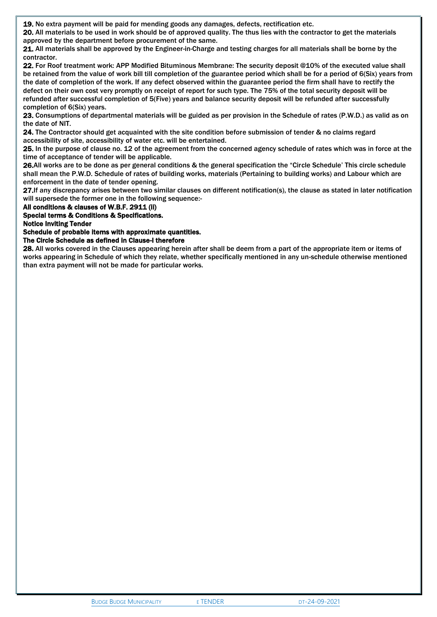19. No extra payment will be paid for mending goods any damages, defects, rectification etc.

20. All materials to be used in work should be of approved quality. The thus lies with the contractor to get the materials approved by the department before procurement of the same.

21. All materials shall be approved by the Engineer-in-Charge and testing charges for all materials shall be borne by the contractor.

22. For Roof treatment work: APP Modified Bituminous Membrane: The security deposit @10% of the executed value shall be retained from the value of work bill till completion of the guarantee period which shall be for a period of 6(Six) years from the date of completion of the work. If any defect observed within the guarantee period the firm shall have to rectify the defect on their own cost very promptly on receipt of report for such type. The 75% of the total security deposit will be refunded after successful completion of 5(Five) years and balance security deposit will be refunded after successfully completion of 6(Six) years.

23. Consumptions of departmental materials will be guided as per provision in the Schedule of rates (P.W.D.) as valid as on the date of NIT.

24. The Contractor should get acquainted with the site condition before submission of tender & no claims regard accessibility of site, accessibility of water etc. will be entertained.

25. In the purpose of clause no. 12 of the agreement from the concerned agency schedule of rates which was in force at the time of acceptance of tender will be applicable.

26.All works are to be done as per general conditions & the general specification the "Circle Schedule' This circle schedule shall mean the P.W.D. Schedule of rates of building works, materials (Pertaining to building works) and Labour which are enforcement in the date of tender opening.

27.If any discrepancy arises between two similar clauses on different notification(s), the clause as stated in later notification will supersede the former one in the following sequence:-

All conditions & clauses of W.B.F. 2911 (ii)

Special terms & Conditions & Specifications.

Notice Inviting Tender

Schedule of probable items with approximate quantities.

The Circle Schedule as defined in Clause-I therefore

28. All works covered in the Clauses appearing herein after shall be deem from a part of the appropriate item or items of works appearing in Schedule of which they relate, whether specifically mentioned in any un-schedule otherwise mentioned than extra payment will not be made for particular works.